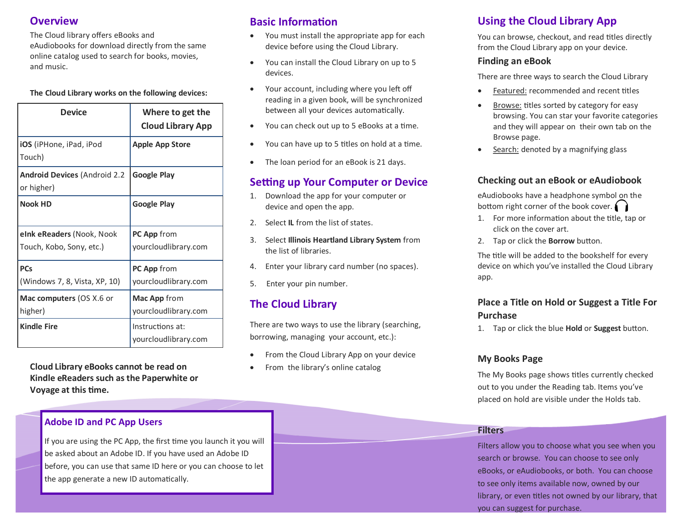## **Overview**

The Cloud library offers eBooks and eAudiobooks for download directly from the same online catalog used to search for books, movies, and music.

#### **The Cloud Library works on the following devices:**

| <b>Device</b>                                         | Where to get the<br><b>Cloud Library App</b> |
|-------------------------------------------------------|----------------------------------------------|
| iOS (iPHone, iPad, iPod<br>Touch)                     | <b>Apple App Store</b>                       |
| <b>Android Devices (Android 2.2</b><br>or higher)     | <b>Google Play</b>                           |
| <b>Nook HD</b>                                        | <b>Google Play</b>                           |
| eink eReaders (Nook, Nook<br>Touch, Kobo, Sony, etc.) | PC App from<br>yourcloudlibrary.com          |
| <b>PCs</b><br>(Windows 7, 8, Vista, XP, 10)           | PC App from<br>yourcloudlibrary.com          |
| Mac computers (OS X.6 or<br>higher)                   | Mac App from<br>yourcloudlibrary.com         |
| <b>Kindle Fire</b>                                    | Instructions at:<br>yourcloudlibrary.com     |

**Cloud Library eBooks cannot be read on Kindle eReaders such as the Paperwhite or Voyage at this time.** 

## **Adobe ID and PC App Users**

If you are using the PC App, the first time you launch it you will be asked about an Adobe ID. If you have used an Adobe ID before, you can use that same ID here or you can choose to let the app generate a new ID automatically.

## **Basic Information**

- You must install the appropriate app for each device before using the Cloud Library.
- You can install the Cloud Library on up to 5 devices.
- Your account, including where you left off reading in a given book, will be synchronized between all your devices automatically.
- You can check out up to 5 eBooks at a time.
- You can have up to 5 titles on hold at a time.
- The loan period for an eBook is 21 days.

## **Setting up Your Computer or Device**

- 1. Download the app for your computer or device and open the app.
- 2. Select **IL** from the list of states.
- 3. Select **Illinois Heartland Library System** from the list of libraries.
- 4. Enter your library card number (no spaces).
- 5. Enter your pin number.

## **The Cloud Library**

There are two ways to use the library (searching, borrowing, managing your account, etc.):

- From the Cloud Library App on your device
- From the library's online catalog

## **Using the Cloud Library App**

You can browse, checkout, and read titles directly from the Cloud Library app on your device.

## **Finding an eBook**

There are three ways to search the Cloud Library

- Featured: recommended and recent titles
- Browse: titles sorted by category for easy browsing. You can star your favorite categories and they will appear on their own tab on the Browse page.
- Search: denoted by a magnifying glass

## **Checking out an eBook or eAudiobook**

eAudiobooks have a headphone symbol on the bottom right corner of the book cover.

- 1. For more information about the title, tap or click on the cover art.
- 2. Tap or click the **Borrow** button.

The title will be added to the bookshelf for every device on which you've installed the Cloud Library app.

## **Place a Title on Hold or Suggest a Title For Purchase**

1. Tap or click the blue **Hold** or **Suggest** button.

#### **My Books Page**

The My Books page shows titles currently checked out to you under the Reading tab. Items you've placed on hold are visible under the Holds tab.

#### **Filters**

Filters allow you to choose what you see when you search or browse. You can choose to see only eBooks, or eAudiobooks, or both. You can choose to see only items available now, owned by our library, or even titles not owned by our library, that you can suggest for purchase.